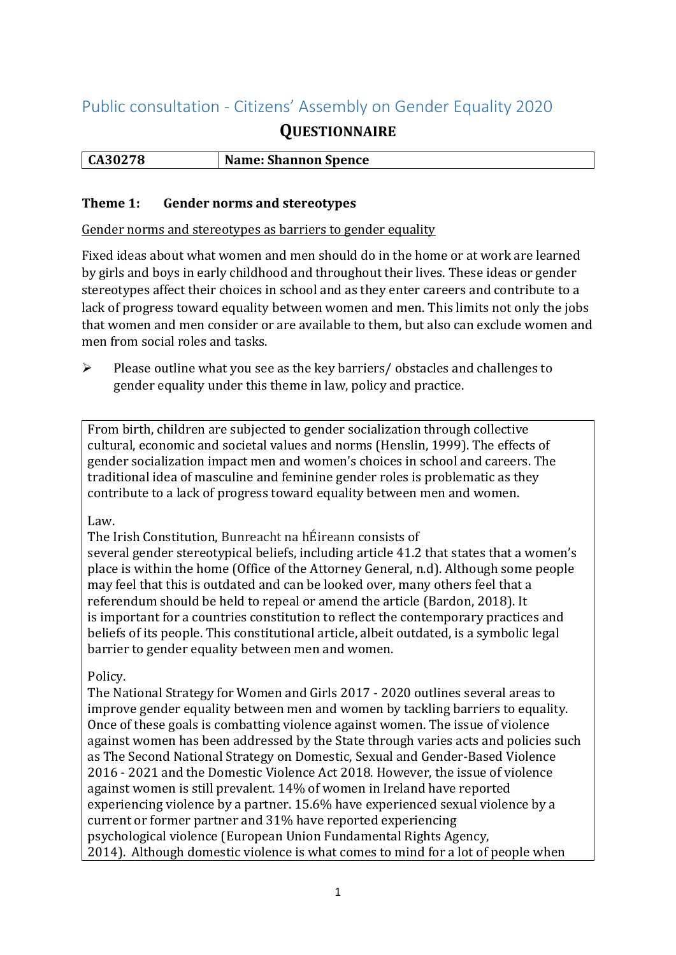# Public consultation - Citizens' Assembly on Gender Equality 2020

## **QUESTIONNAIRE**

| CA30278 | <b>Name: Shannon Spence</b> |
|---------|-----------------------------|
|         |                             |

#### **Theme 1: Gender norms and stereotypes**

Gender norms and stereotypes as barriers to gender equality

Fixed ideas about what women and men should do in the home or at work are learned by girls and boys in early childhood and throughout their lives. These ideas or gender stereotypes affect their choices in school and as they enter careers and contribute to a lack of progress toward equality between women and men. This limits not only the jobs that women and men consider or are available to them, but also can exclude women and men from social roles and tasks.

➢ Please outline what you see as the key barriers/ obstacles and challenges to gender equality under this theme in law, policy and practice.

From birth, children are subjected to gender socialization through collective cultural, economic and societal values and norms (Henslin, 1999). The effects of gender socialization impact men and women's choices in school and careers. The traditional idea of masculine and feminine gender roles is problematic as they contribute to a lack of progress toward equality between men and women.

#### Law.

The Irish Constitution, Bunreacht na hÉireann consists of

several gender stereotypical beliefs, including article 41.2 that states that a women's place is within the home (Office of the Attorney General, n.d). Although some people may feel that this is outdated and can be looked over, many others feel that a referendum should be held to repeal or amend the article (Bardon, 2018). It is important for a countries constitution to reflect the contemporary practices and beliefs of its people. This constitutional article, albeit outdated, is a symbolic legal barrier to gender equality between men and women.

### Policy.

The National Strategy for Women and Girls 2017 - 2020 outlines several areas to improve gender equality between men and women by tackling barriers to equality. Once of these goals is combatting violence against women. The issue of violence against women has been addressed by the State through varies acts and policies such as The Second National Strategy on Domestic, Sexual and Gender-Based Violence 2016 - 2021 and the Domestic Violence Act 2018. However, the issue of violence against women is still prevalent. 14% of women in Ireland have reported experiencing violence by a partner. 15.6% have experienced sexual violence by a current or former partner and 31% have reported experiencing psychological violence (European Union Fundamental Rights Agency, 2014). Although domestic violence is what comes to mind for a lot of people when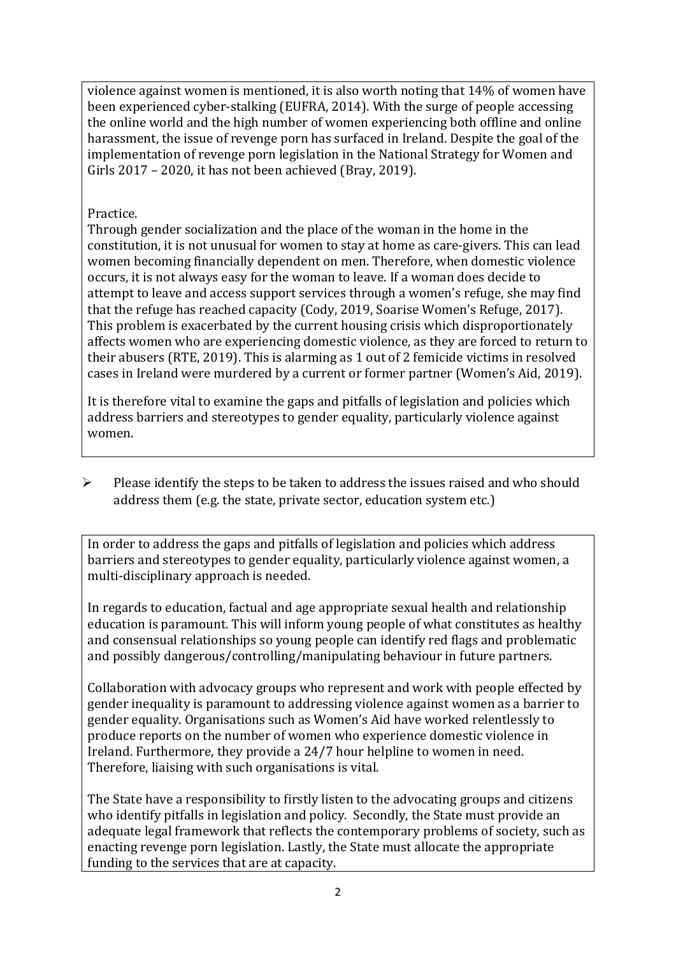violence against women is mentioned, it is also worth noting that 14% of women have been experienced cyber-stalking (EUFRA, 2014). With the surge of people accessing the online world and the high number of women experiencing both offline and online harassment, the issue of revenge porn has surfaced in Ireland. Despite the goal of the implementation of revenge porn legislation in the National Strategy for Women and Girls 2017 – 2020, it has not been achieved (Bray, 2019).

## Practice.

Through gender socialization and the place of the woman in the home in the constitution, it is not unusual for women to stay at home as care-givers. This can lead women becoming financially dependent on men. Therefore, when domestic violence occurs, it is not always easy for the woman to leave. If a woman does decide to attempt to leave and access support services through a women's refuge, she may find that the refuge has reached capacity (Cody, 2019, Soarise Women's Refuge, 2017). This problem is exacerbated by the current housing crisis which disproportionately affects women who are experiencing domestic violence, as they are forced to return to their abusers (RTE, 2019). This is alarming as 1 out of 2 femicide victims in resolved cases in Ireland were murdered by a current or former partner (Women's Aid, 2019).

It is therefore vital to examine the gaps and pitfalls of legislation and policies which address barriers and stereotypes to gender equality, particularly violence against women.

➢ Please identify the steps to be taken to address the issues raised and who should address them (e.g. the state, private sector, education system etc.)

In order to address the gaps and pitfalls of legislation and policies which address barriers and stereotypes to gender equality, particularly violence against women, a multi-disciplinary approach is needed.

In regards to education, factual and age appropriate sexual health and relationship education is paramount. This will inform young people of what constitutes as healthy and consensual relationships so young people can identify red flags and problematic and possibly dangerous/controlling/manipulating behaviour in future partners.

Collaboration with advocacy groups who represent and work with people effected by gender inequality is paramount to addressing violence against women as a barrier to gender equality. Organisations such as Women's Aid have worked relentlessly to produce reports on the number of women who experience domestic violence in Ireland. Furthermore, they provide a 24/7 hour helpline to women in need. Therefore, liaising with such organisations is vital.

The State have a responsibility to firstly listen to the advocating groups and citizens who identify pitfalls in legislation and policy. Secondly, the State must provide an adequate legal framework that reflects the contemporary problems of society, such as enacting revenge porn legislation. Lastly, the State must allocate the appropriate funding to the services that are at capacity.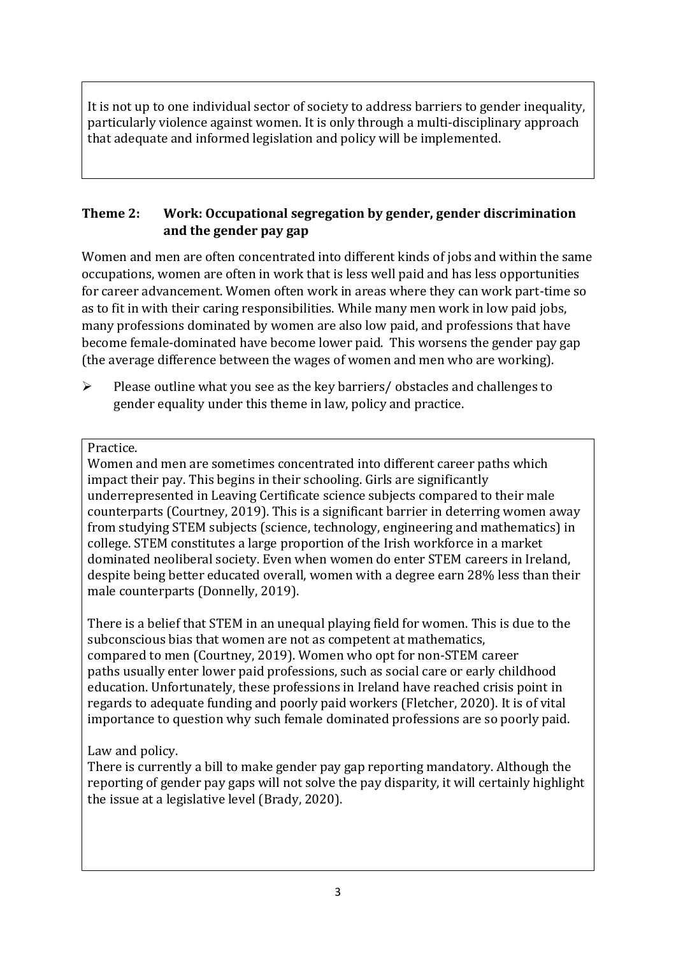It is not up to one individual sector of society to address barriers to gender inequality, particularly violence against women. It is only through a multi-disciplinary approach that adequate and informed legislation and policy will be implemented.

## **Theme 2: Work: Occupational segregation by gender, gender discrimination and the gender pay gap**

Women and men are often concentrated into different kinds of jobs and within the same occupations, women are often in work that is less well paid and has less opportunities for career advancement. Women often work in areas where they can work part-time so as to fit in with their caring responsibilities. While many men work in low paid jobs, many professions dominated by women are also low paid, and professions that have become female-dominated have become lower paid. This worsens the gender pay gap (the average difference between the wages of women and men who are working).

➢ Please outline what you see as the key barriers/ obstacles and challenges to gender equality under this theme in law, policy and practice.

#### Practice.

Women and men are sometimes concentrated into different career paths which impact their pay. This begins in their schooling. Girls are significantly underrepresented in Leaving Certificate science subjects compared to their male counterparts (Courtney, 2019). This is a significant barrier in deterring women away from studying STEM subjects (science, technology, engineering and mathematics) in college. STEM constitutes a large proportion of the Irish workforce in a market dominated neoliberal society. Even when women do enter STEM careers in Ireland, despite being better educated overall, women with a degree earn 28% less than their male counterparts (Donnelly, 2019).

There is a belief that STEM in an unequal playing field for women. This is due to the subconscious bias that women are not as competent at mathematics, compared to men (Courtney, 2019). Women who opt for non-STEM career paths usually enter lower paid professions, such as social care or early childhood education. Unfortunately, these professions in Ireland have reached crisis point in regards to adequate funding and poorly paid workers (Fletcher, 2020). It is of vital importance to question why such female dominated professions are so poorly paid.

### Law and policy.

There is currently a bill to make gender pay gap reporting mandatory. Although the reporting of gender pay gaps will not solve the pay disparity, it will certainly highlight the issue at a legislative level (Brady, 2020).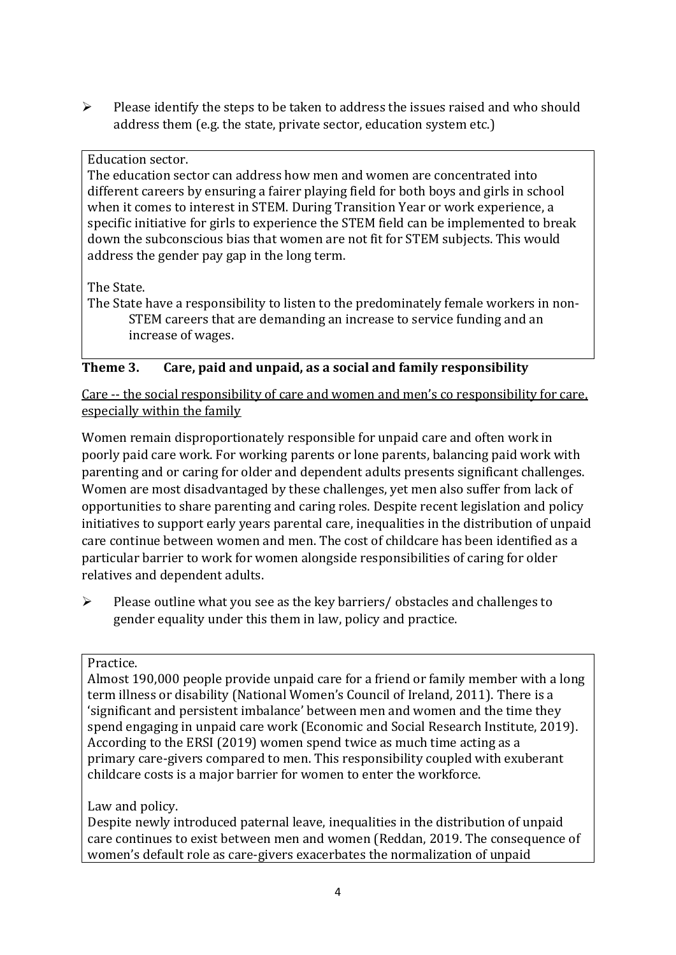➢ Please identify the steps to be taken to address the issues raised and who should address them (e.g. the state, private sector, education system etc.)

#### Education sector.

The education sector can address how men and women are concentrated into different careers by ensuring a fairer playing field for both boys and girls in school when it comes to interest in STEM. During Transition Year or work experience, a specific initiative for girls to experience the STEM field can be implemented to break down the subconscious bias that women are not fit for STEM subjects. This would address the gender pay gap in the long term.

### The State.

The State have a responsibility to listen to the predominately female workers in non-STEM careers that are demanding an increase to service funding and an increase of wages.

## **Theme 3. Care, paid and unpaid, as a social and family responsibility**

Care -- the social responsibility of care and women and men's co responsibility for care, especially within the family

Women remain disproportionately responsible for unpaid care and often work in poorly paid care work. For working parents or [lone parents,](https://aran.library.nuigalway.ie/bitstream/handle/10379/6044/Millar_and_Crosse_Activation_Report.pdf?sequence=1&isAllowed=y) balancing paid work with parenting and or caring for older and dependent adults presents significant challenges. Women are [most disadvantaged by these challenges,](https://eige.europa.eu/gender-equality-index/game/IE/W) yet men also suffer from lack of opportunities to share parenting and caring roles. Despite recent legislation and policy initiatives to support early years parental care, [inequalities in the distribution of unpaid](https://www.ihrec.ie/app/uploads/2019/07/Caring-and-Unpaid-Work-in-Ireland_Final.pdf)  [care](https://www.ihrec.ie/app/uploads/2019/07/Caring-and-Unpaid-Work-in-Ireland_Final.pdf) continue between women and men. The cost of childcare has been identified as a particular barrier to work for women alongside responsibilities of caring for older relatives and dependent adults.

 $\triangleright$  Please outline what you see as the key barriers/ obstacles and challenges to gender equality under this them in law, policy and practice.

### Practice.

Almost 190,000 people provide unpaid care for a friend or family member with a long term illness or disability (National Women's Council of Ireland, 2011). There is a 'significant and persistent imbalance' between men and women and the time they spend engaging in unpaid care work (Economic and Social Research Institute, 2019). According to the ERSI (2019) women spend twice as much time acting as a primary care-givers compared to men. This responsibility coupled with exuberant childcare costs is a major barrier for women to enter the workforce.

### Law and policy.

Despite newly introduced paternal leave, inequalities in the distribution of unpaid care continues to exist between men and women (Reddan, 2019. The consequence of women's default role as care-givers exacerbates the normalization of unpaid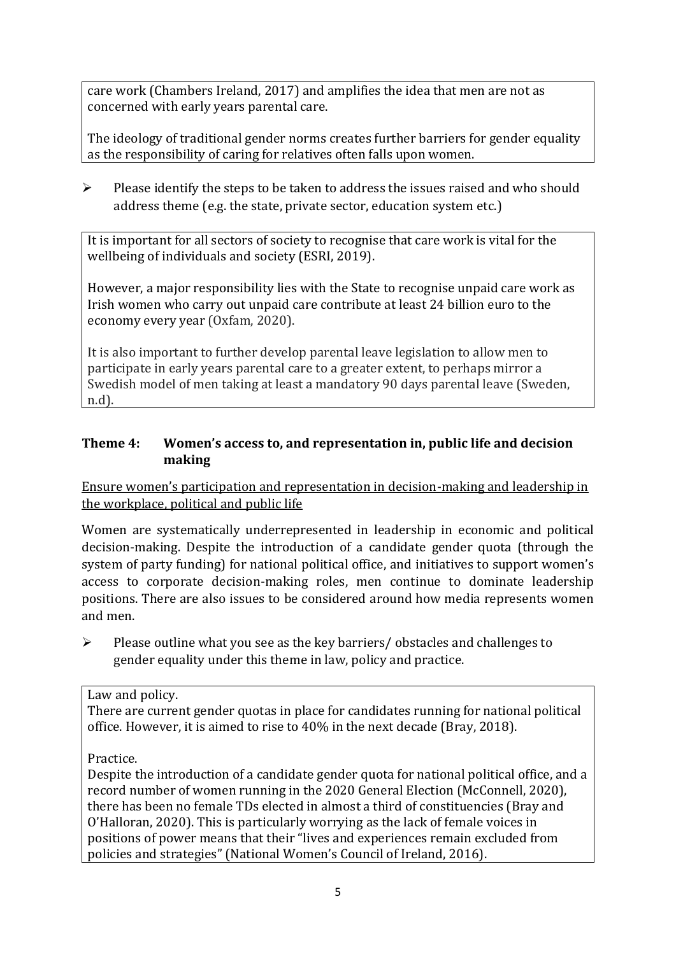care work (Chambers Ireland, 2017) and amplifies the idea that men are not as concerned with early years parental care.

The ideology of traditional gender norms creates further barriers for gender equality as the responsibility of caring for relatives often falls upon women.

 $\triangleright$  Please identify the steps to be taken to address the issues raised and who should address theme (e.g. the state, private sector, education system etc.)

It is important for all sectors of society to recognise that care work is vital for the wellbeing of individuals and society (ESRI, 2019).

However, a major responsibility lies with the State to recognise unpaid care work as Irish women who carry out unpaid care contribute at least 24 billion euro to the economy every year (Oxfam, 2020).

It is also important to further develop parental leave legislation to allow men to participate in early years parental care to a greater extent, to perhaps mirror a Swedish model of men taking at least a mandatory 90 days parental leave (Sweden, n.d).

## **Theme 4: Women's access to, and representation in, public life and decision making**

Ensure women's participation and representation in decision-making and leadership in the workplace, political and public life

Women are systematically underrepresented in leadership in [economic](https://eige.europa.eu/gender-equality-index/2019/compare-countries/power/2/bar) and [political](https://eige.europa.eu/gender-equality-index/2019/compare-countries/power/1/bar)  [decision-](https://eige.europa.eu/gender-equality-index/2019/compare-countries/power/1/bar)making. Despite the introduction of a candidate gender quota (through the system of party funding) for national political office, and [initiatives](https://betterbalance.ie/) to support women's access to corporate decision-making roles, men continue to dominate leadership positions. There are also issues to be considered around how media represents women and men.

➢ Please outline what you see as the key barriers/ obstacles and challenges to gender equality under this theme in law, policy and practice.

### Law and policy.

There are current gender quotas in place for candidates running for national political office. However, it is aimed to rise to 40% in the next decade (Bray, 2018).

### Practice.

Despite the introduction of a candidate gender quota for national political office, and a record number of women running in the 2020 General Election (McConnell, 2020), there has been no female TDs elected in almost a third of constituencies (Bray and O'Halloran, 2020). This is particularly worrying as the lack of female voices in positions of power means that their "lives and experiences remain excluded from policies and strategies" (National Women's Council of Ireland, 2016).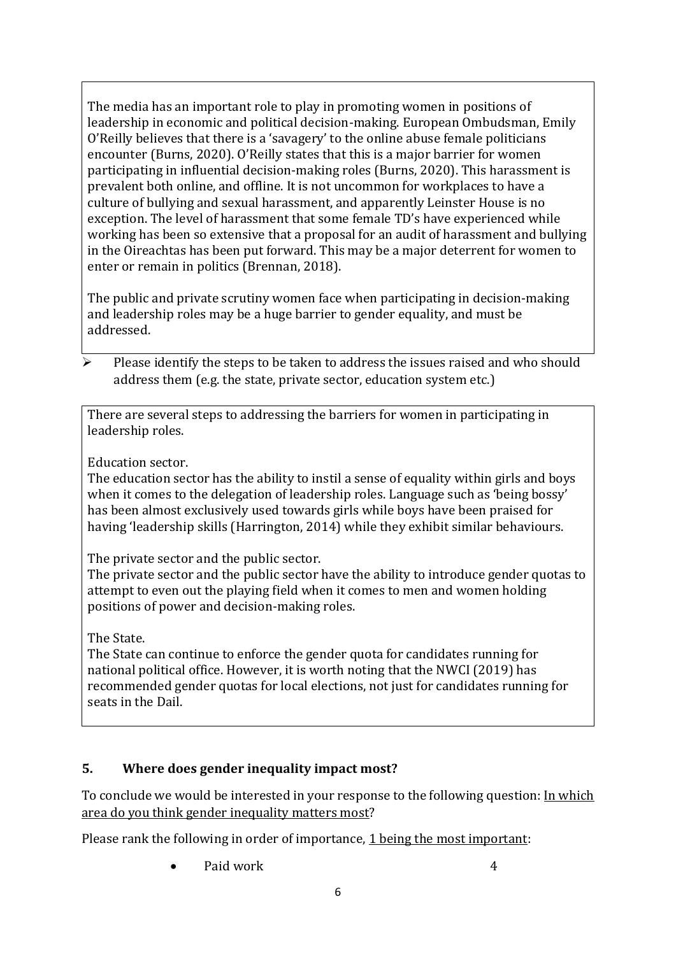The media has an important role to play in promoting women in positions of leadership in economic and political decision-making. European Ombudsman, Emily O'Reilly believes that there is a 'savagery' to the online abuse female politicians encounter (Burns, 2020). O'Reilly states that this is a major barrier for women participating in influential decision-making roles (Burns, 2020). This harassment is prevalent both online, and offline. It is not uncommon for workplaces to have a culture of bullying and sexual harassment, and apparently Leinster House is no exception. The level of harassment that some female TD's have experienced while working has been so extensive that a proposal for an audit of harassment and bullying in the Oireachtas has been put forward. This may be a major deterrent for women to enter or remain in politics (Brennan, 2018).

The public and private scrutiny women face when participating in decision-making and leadership roles may be a huge barrier to gender equality, and must be addressed.

Please identify the steps to be taken to address the issues raised and who should address them (e.g. the state, private sector, education system etc.)

There are several steps to addressing the barriers for women in participating in leadership roles.

Education sector.

The education sector has the ability to instil a sense of equality within girls and boys when it comes to the delegation of leadership roles. Language such as 'being bossy' has been almost exclusively used towards girls while boys have been praised for having 'leadership skills (Harrington, 2014) while they exhibit similar behaviours.

The private sector and the public sector.

The private sector and the public sector have the ability to introduce gender quotas to attempt to even out the playing field when it comes to men and women holding positions of power and decision-making roles.

The State.

The State can continue to enforce the gender quota for candidates running for national political office. However, it is worth noting that the NWCI (2019) has recommended gender quotas for local elections, not just for candidates running for seats in the Dail.

## **5. Where does gender inequality impact most?**

To conclude we would be interested in your response to the following question: In which area do you think gender inequality matters most?

Please rank the following in order of importance, 1 being the most important:

Paid work 4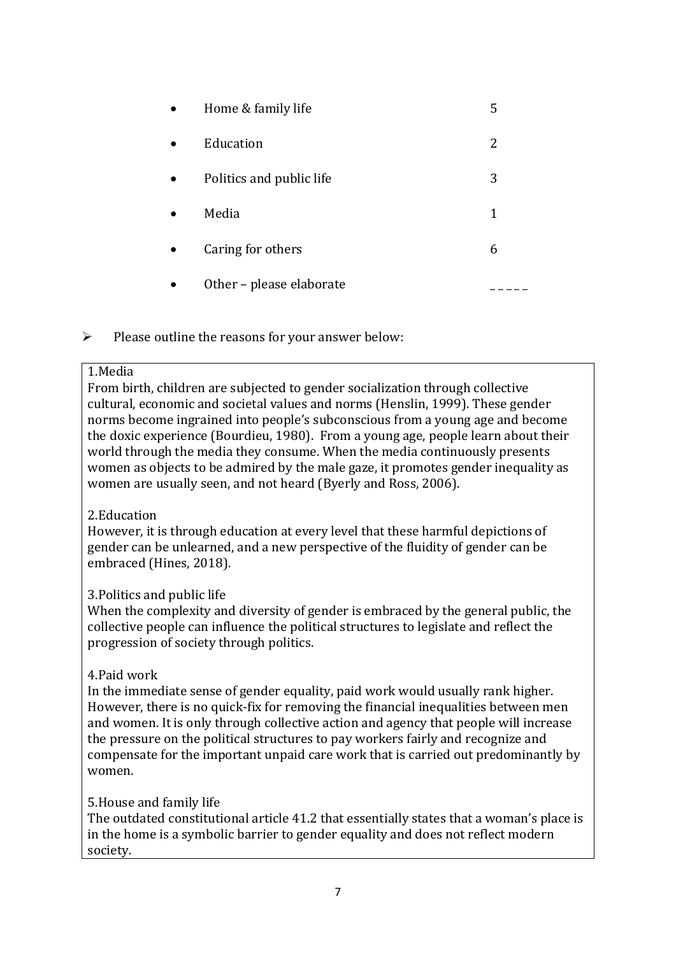| Home & family life       | 5 |
|--------------------------|---|
| Education                | 2 |
| Politics and public life | 3 |
| Media                    | 1 |
| Caring for others        | 6 |
| Other - please elaborate |   |

 $\triangleright$  Please outline the reasons for your answer below:

#### 1.Media

From birth, children are subjected to gender socialization through collective cultural, economic and societal values and norms (Henslin, 1999). These gender norms become ingrained into people's subconscious from a young age and become the doxic experience (Bourdieu, 1980). From a young age, people learn about their world through the media they consume. When the media continuously presents women as objects to be admired by the male gaze, it promotes gender inequality as women are usually seen, and not heard (Byerly and Ross, 2006).

#### 2.Education

However, it is through education at every level that these harmful depictions of gender can be unlearned, and a new perspective of the fluidity of gender can be embraced (Hines, 2018).

### 3.Politics and public life

When the complexity and diversity of gender is embraced by the general public, the collective people can influence the political structures to legislate and reflect the progression of society through politics.

#### 4.Paid work

In the immediate sense of gender equality, paid work would usually rank higher. However, there is no quick-fix for removing the financial inequalities between men and women. It is only through collective action and agency that people will increase the pressure on the political structures to pay workers fairly and recognize and compensate for the important unpaid care work that is carried out predominantly by women.

#### 5.House and family life

The outdated constitutional article 41.2 that essentially states that a woman's place is in the home is a symbolic barrier to gender equality and does not reflect modern society.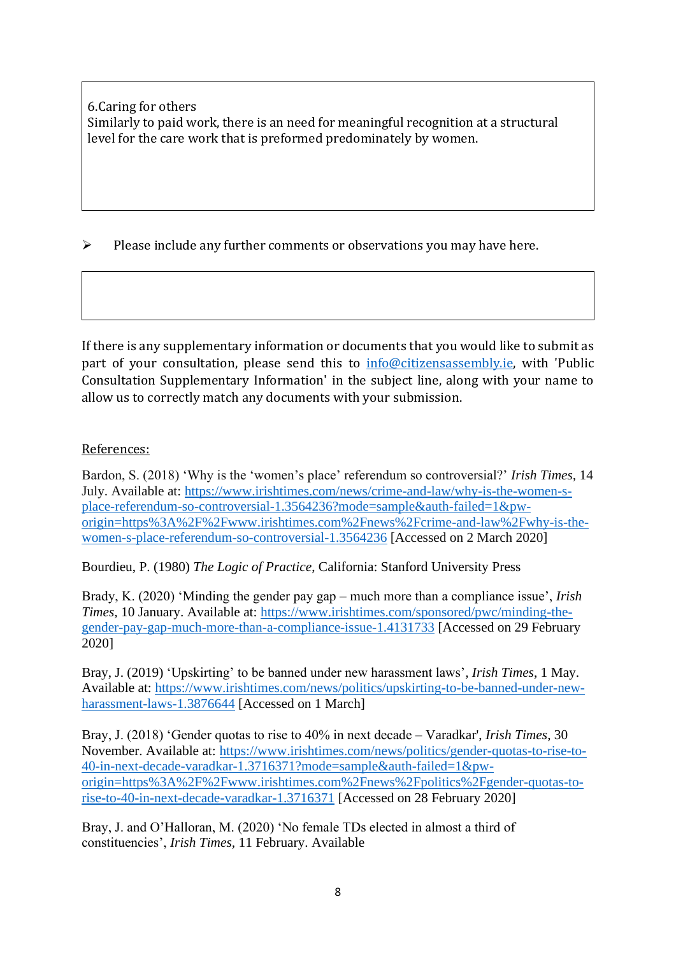6.Caring for others Similarly to paid work, there is an need for meaningful recognition at a structural level for the care work that is preformed predominately by women.

➢ Please include any further comments or observations you may have here.

If there is any supplementary information or documents that you would like to submit as part of your consultation, please send this to  $info@citizensassembly.ie$ , with 'Public Consultation Supplementary Information' in the subject line, along with your name to allow us to correctly match any documents with your submission.

#### References:

Bardon, S. (2018) 'Why is the 'women's place' referendum so controversial?' *Irish Times,* 14 July. Available at: [https://www.irishtimes.com/news/crime-and-law/why-is-the-women-s](https://www.irishtimes.com/news/crime-and-law/why-is-the-women-s-place-referendum-so-controversial-1.3564236?mode=sample&auth-failed=1&pw-origin=https%3A%2F%2Fwww.irishtimes.com%2Fnews%2Fcrime-and-law%2Fwhy-is-the-women-s-place-referendum-so-controversial-1.3564236)[place-referendum-so-controversial-1.3564236?mode=sample&auth-failed=1&pw](https://www.irishtimes.com/news/crime-and-law/why-is-the-women-s-place-referendum-so-controversial-1.3564236?mode=sample&auth-failed=1&pw-origin=https%3A%2F%2Fwww.irishtimes.com%2Fnews%2Fcrime-and-law%2Fwhy-is-the-women-s-place-referendum-so-controversial-1.3564236)[origin=https%3A%2F%2Fwww.irishtimes.com%2Fnews%2Fcrime-and-law%2Fwhy-is-the](https://www.irishtimes.com/news/crime-and-law/why-is-the-women-s-place-referendum-so-controversial-1.3564236?mode=sample&auth-failed=1&pw-origin=https%3A%2F%2Fwww.irishtimes.com%2Fnews%2Fcrime-and-law%2Fwhy-is-the-women-s-place-referendum-so-controversial-1.3564236)[women-s-place-referendum-so-controversial-1.3564236](https://www.irishtimes.com/news/crime-and-law/why-is-the-women-s-place-referendum-so-controversial-1.3564236?mode=sample&auth-failed=1&pw-origin=https%3A%2F%2Fwww.irishtimes.com%2Fnews%2Fcrime-and-law%2Fwhy-is-the-women-s-place-referendum-so-controversial-1.3564236) [Accessed on 2 March 2020]

Bourdieu, P. (1980) *The Logic of Practice*, California: Stanford University Press

Brady, K. (2020) 'Minding the gender pay gap – much more than a compliance issue', *Irish Times,* 10 January. Available at: [https://www.irishtimes.com/sponsored/pwc/minding-the](https://www.irishtimes.com/sponsored/pwc/minding-the-gender-pay-gap-much-more-than-a-compliance-issue-1.4131733)[gender-pay-gap-much-more-than-a-compliance-issue-1.4131733](https://www.irishtimes.com/sponsored/pwc/minding-the-gender-pay-gap-much-more-than-a-compliance-issue-1.4131733) [Accessed on 29 February 2020]

Bray, J. (2019) 'Upskirting' to be banned under new harassment laws'*, Irish Times*, 1 May. Available at: [https://www.irishtimes.com/news/politics/upskirting-to-be-banned-under-new](https://www.irishtimes.com/news/politics/upskirting-to-be-banned-under-new-harassment-laws-1.3876644)[harassment-laws-1.3876644](https://www.irishtimes.com/news/politics/upskirting-to-be-banned-under-new-harassment-laws-1.3876644) [Accessed on 1 March]

Bray, J. (2018) 'Gender quotas to rise to 40% in next decade – Varadkar', *Irish Times*, 30 November. Available at: [https://www.irishtimes.com/news/politics/gender-quotas-to-rise-to-](https://www.irishtimes.com/news/politics/gender-quotas-to-rise-to-40-in-next-decade-varadkar-1.3716371?mode=sample&auth-failed=1&pw-origin=https%3A%2F%2Fwww.irishtimes.com%2Fnews%2Fpolitics%2Fgender-quotas-to-rise-to-40-in-next-decade-varadkar-1.3716371)[40-in-next-decade-varadkar-1.3716371?mode=sample&auth-failed=1&pw](https://www.irishtimes.com/news/politics/gender-quotas-to-rise-to-40-in-next-decade-varadkar-1.3716371?mode=sample&auth-failed=1&pw-origin=https%3A%2F%2Fwww.irishtimes.com%2Fnews%2Fpolitics%2Fgender-quotas-to-rise-to-40-in-next-decade-varadkar-1.3716371)[origin=https%3A%2F%2Fwww.irishtimes.com%2Fnews%2Fpolitics%2Fgender-quotas-to](https://www.irishtimes.com/news/politics/gender-quotas-to-rise-to-40-in-next-decade-varadkar-1.3716371?mode=sample&auth-failed=1&pw-origin=https%3A%2F%2Fwww.irishtimes.com%2Fnews%2Fpolitics%2Fgender-quotas-to-rise-to-40-in-next-decade-varadkar-1.3716371)[rise-to-40-in-next-decade-varadkar-1.3716371](https://www.irishtimes.com/news/politics/gender-quotas-to-rise-to-40-in-next-decade-varadkar-1.3716371?mode=sample&auth-failed=1&pw-origin=https%3A%2F%2Fwww.irishtimes.com%2Fnews%2Fpolitics%2Fgender-quotas-to-rise-to-40-in-next-decade-varadkar-1.3716371) [Accessed on 28 February 2020]

Bray, J. and O'Halloran, M. (2020) 'No female TDs elected in almost a third of constituencies', *Irish Times,* 11 February. Available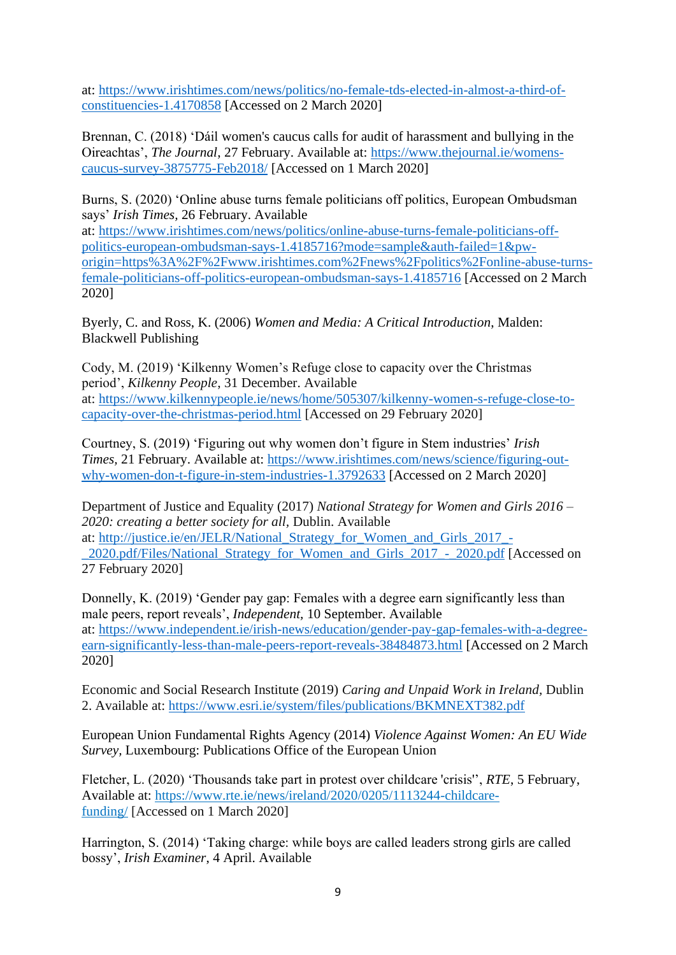at: [https://www.irishtimes.com/news/politics/no-female-tds-elected-in-almost-a-third-of](https://www.irishtimes.com/news/politics/no-female-tds-elected-in-almost-a-third-of-constituencies-1.4170858)[constituencies-1.4170858](https://www.irishtimes.com/news/politics/no-female-tds-elected-in-almost-a-third-of-constituencies-1.4170858) [Accessed on 2 March 2020]

Brennan, C. (2018) 'Dáil women's caucus calls for audit of harassment and bullying in the Oireachtas', *The Journal*, 27 February. Available at: [https://www.thejournal.ie/womens](https://www.thejournal.ie/womens-caucus-survey-3875775-Feb2018/)[caucus-survey-3875775-Feb2018/](https://www.thejournal.ie/womens-caucus-survey-3875775-Feb2018/) [Accessed on 1 March 2020]

Burns, S. (2020) 'Online abuse turns female politicians off politics, European Ombudsman says' *Irish Times,* 26 February. Available

at: [https://www.irishtimes.com/news/politics/online-abuse-turns-female-politicians-off](https://www.irishtimes.com/news/politics/online-abuse-turns-female-politicians-off-politics-european-ombudsman-says-1.4185716?mode=sample&auth-failed=1&pw-origin=https%3A%2F%2Fwww.irishtimes.com%2Fnews%2Fpolitics%2Fonline-abuse-turns-female-politicians-off-politics-european-ombudsman-says-1.4185716)[politics-european-ombudsman-says-1.4185716?mode=sample&auth-failed=1&pw](https://www.irishtimes.com/news/politics/online-abuse-turns-female-politicians-off-politics-european-ombudsman-says-1.4185716?mode=sample&auth-failed=1&pw-origin=https%3A%2F%2Fwww.irishtimes.com%2Fnews%2Fpolitics%2Fonline-abuse-turns-female-politicians-off-politics-european-ombudsman-says-1.4185716)[origin=https%3A%2F%2Fwww.irishtimes.com%2Fnews%2Fpolitics%2Fonline-abuse-turns](https://www.irishtimes.com/news/politics/online-abuse-turns-female-politicians-off-politics-european-ombudsman-says-1.4185716?mode=sample&auth-failed=1&pw-origin=https%3A%2F%2Fwww.irishtimes.com%2Fnews%2Fpolitics%2Fonline-abuse-turns-female-politicians-off-politics-european-ombudsman-says-1.4185716)[female-politicians-off-politics-european-ombudsman-says-1.4185716](https://www.irishtimes.com/news/politics/online-abuse-turns-female-politicians-off-politics-european-ombudsman-says-1.4185716?mode=sample&auth-failed=1&pw-origin=https%3A%2F%2Fwww.irishtimes.com%2Fnews%2Fpolitics%2Fonline-abuse-turns-female-politicians-off-politics-european-ombudsman-says-1.4185716) [Accessed on 2 March 2020]

Byerly, C. and Ross, K. (2006) *Women and Media: A Critical Introduction*, Malden: Blackwell Publishing

Cody, M. (2019) 'Kilkenny Women's Refuge close to capacity over the Christmas period', *Kilkenny People*, 31 December. Available at: [https://www.kilkennypeople.ie/news/home/505307/kilkenny-women-s-refuge-close-to](https://www.kilkennypeople.ie/news/home/505307/kilkenny-women-s-refuge-close-to-capacity-over-the-christmas-period.html)[capacity-over-the-christmas-period.html](https://www.kilkennypeople.ie/news/home/505307/kilkenny-women-s-refuge-close-to-capacity-over-the-christmas-period.html) [Accessed on 29 February 2020]

Courtney, S. (2019) 'Figuring out why women don't figure in Stem industries' *Irish Times,* 21 February. Available at: [https://www.irishtimes.com/news/science/figuring-out](https://www.irishtimes.com/news/science/figuring-out-why-women-don-t-figure-in-stem-industries-1.3792633)[why-women-don-t-figure-in-stem-industries-1.3792633](https://www.irishtimes.com/news/science/figuring-out-why-women-don-t-figure-in-stem-industries-1.3792633) [Accessed on 2 March 2020]

Department of Justice and Equality (2017) *National Strategy for Women and Girls 2016 – 2020: creating a better society for all,* Dublin. Available

at: [http://justice.ie/en/JELR/National\\_Strategy\\_for\\_Women\\_and\\_Girls\\_2017\\_-](http://justice.ie/en/JELR/National_Strategy_for_Women_and_Girls_2017_-_2020.pdf/Files/National_Strategy_for_Women_and_Girls_2017_-_2020.pdf) [\\_2020.pdf/Files/National\\_Strategy\\_for\\_Women\\_and\\_Girls\\_2017\\_-\\_2020.pdf](http://justice.ie/en/JELR/National_Strategy_for_Women_and_Girls_2017_-_2020.pdf/Files/National_Strategy_for_Women_and_Girls_2017_-_2020.pdf) [Accessed on 27 February 2020]

Donnelly, K. (2019) 'Gender pay gap: Females with a degree earn significantly less than male peers, report reveals', *Independent,* 10 September. Available at: [https://www.independent.ie/irish-news/education/gender-pay-gap-females-with-a-degree](https://www.independent.ie/irish-news/education/gender-pay-gap-females-with-a-degree-earn-significantly-less-than-male-peers-report-reveals-38484873.html)[earn-significantly-less-than-male-peers-report-reveals-38484873.html](https://www.independent.ie/irish-news/education/gender-pay-gap-females-with-a-degree-earn-significantly-less-than-male-peers-report-reveals-38484873.html) [Accessed on 2 March 2020]

Economic and Social Research Institute (2019) *Caring and Unpaid Work in Ireland,* Dublin 2. Available at: <https://www.esri.ie/system/files/publications/BKMNEXT382.pdf>

European Union Fundamental Rights Agency (2014) *Violence Against Women: An EU Wide Survey,* Luxembourg: Publications Office of the European Union

Fletcher, L. (2020) 'Thousands take part in protest over childcare 'crisis'', *RTE*, 5 February, Available at: [https://www.rte.ie/news/ireland/2020/0205/1113244-childcare](https://www.rte.ie/news/ireland/2020/0205/1113244-childcare-funding/)[funding/](https://www.rte.ie/news/ireland/2020/0205/1113244-childcare-funding/) [Accessed on 1 March 2020]

Harrington, S. (2014) 'Taking charge: while boys are called leaders strong girls are called bossy', *Irish Examiner*, 4 April. Available